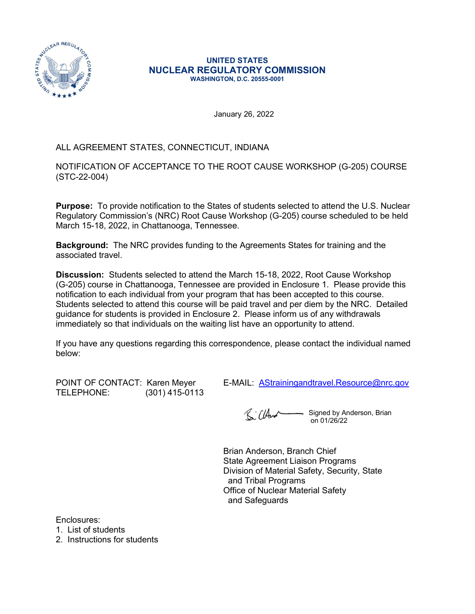

#### UNITED STATES NUCLEAR REGULATORY COMMISSION WASHINGTON, D.C. 20555-0001

January 26, 2022

## ALL AGREEMENT STATES, CONNECTICUT, INDIANA

 $\begin{array}{r}\n\mathbb{R}^{n \times n} \xrightarrow{\mathbb{R}^{n}}\n\mathbb{R}^{n} \xrightarrow{\mathbb{R}^{n}}\n\mathbb{R}^{n} \xrightarrow{\mathbb{R}^{n}}\n\mathbb{R}^{n} \xrightarrow{\mathbb{R}^{n}}\n\mathbb{R}^{n} \xrightarrow{\mathbb{R}^{n}}\n\mathbb{R}^{n} \xrightarrow{\mathbb{R}^{n}}\n\mathbb{R}^{n} \xrightarrow{\mathbb{R}^{n}}\n\mathbb{R}^{n} \xrightarrow{\mathbb{R}^{n}}\n\mathbb{R}^{n} \xrightarrow{\mathbb{R}^{n}}\n\math$ (STC-22-004)

**Purpose:** To provide notification to the States of students selected to attend the U.S. Nuclear Regulatory Commission's (NRC) Root Cause Workshop (G-205) course scheduled to be held March 15-18, 2022, in Chattanooga, Tennessee.

Background: The NRC provides funding to the Agreements States for training and the associated travel.

Discussion: Students selected to attend the March 15-18, 2022, Root Cause Workshop (G-205) course in Chattanooga, Tennessee are provided in Enclosure 1. Please provide this notification to each individual from your program that has been accepted to this course. Students selected to attend this course will be paid travel and per diem by the NRC. Detailed guidance for students is provided in Enclosure 2. Please inform us of any withdrawals immediately so that individuals on the waiting list have an opportunity to attend.

If you have any questions regarding this correspondence, please contact the individual named below:

TELEPHONE: (301) 415-0113

POINT OF CONTACT: Karen Meyer E-MAIL: AStrainingandtravel.Resource@nrc.gov

Signed by Anderson, Brian R. CHur on 01/26/22

Brian Anderson, Branch Chief State Agreement Liaison Programs Division of Material Safety, Security, State and Tribal Programs Office of Nuclear Material Safety and Safeguards

Enclosures:

1. List of students

2. Instructions for students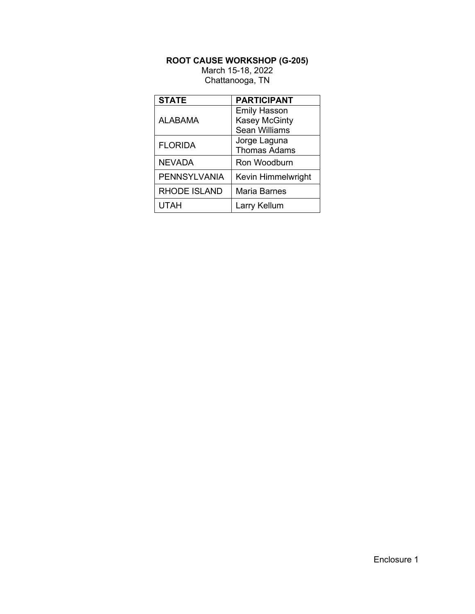# ROOT CAUSE WORKSHOP (G-205)

|                     | <b>ROOT CAUSE WORKSHOP (G-205)</b>                           |
|---------------------|--------------------------------------------------------------|
|                     | March 15-18, 2022<br>Chattanooga, TN                         |
|                     |                                                              |
| <b>STATE</b>        | <b>PARTICIPANT</b>                                           |
| <b>ALABAMA</b>      | <b>Emily Hasson</b><br><b>Kasey McGinty</b><br>Sean Williams |
| <b>FLORIDA</b>      | Jorge Laguna<br><b>Thomas Adams</b>                          |
| <b>NEVADA</b>       | Ron Woodburn                                                 |
| <b>PENNSYLVANIA</b> | Kevin Himmelwright                                           |
| <b>RHODE ISLAND</b> | <b>Maria Barnes</b>                                          |
|                     |                                                              |
| <b>UTAH</b>         | Larry Kellum                                                 |
|                     |                                                              |
|                     |                                                              |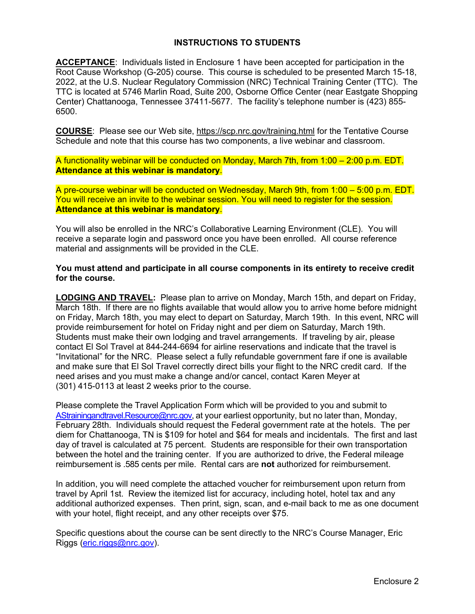## INSTRUCTIONS TO STUDENTS

ACCEPTANCE: Individuals listed in Enclosure 1 have been accepted for participation in the Root Cause Workshop (G-205) course. This course is scheduled to be presented March 15-18, 2022, at the U.S. Nuclear Regulatory Commission (NRC) Technical Training Center (TTC). The TTC is located at 5746 Marlin Road, Suite 200, Osborne Office Center (near Eastgate Shopping Center) Chattanooga, Tennessee 37411-5677. The facility's telephone number is (423) 855- 6500.

COURSE: Please see our Web site, https://scp.nrc.gov/training.html for the Tentative Course Schedule and note that this course has two components, a live webinar and classroom.

A functionality webinar will be conducted on Monday, March 7th, from 1:00 – 2:00 p.m. EDT. Attendance at this webinar is mandatory.

A pre-course webinar will be conducted on Wednesday, March 9th, from 1:00 – 5:00 p.m. EDT. You will receive an invite to the webinar session. You will need to register for the session. Attendance at this webinar is mandatory.

You will also be enrolled in the NRC's Collaborative Learning Environment (CLE). You will receive a separate login and password once you have been enrolled. All course reference material and assignments will be provided in the CLE.

You must attend and participate in all course components in its entirety to receive credit for the course.

LODGING AND TRAVEL: Please plan to arrive on Monday, March 15th, and depart on Friday, March 18th. If there are no flights available that would allow you to arrive home before midnight on Friday, March 18th, you may elect to depart on Saturday, March 19th. In this event, NRC will provide reimbursement for hotel on Friday night and per diem on Saturday, March 19th. Students must make their own lodging and travel arrangements. If traveling by air, please contact El Sol Travel at 844-244-6694 for airline reservations and indicate that the travel is "Invitational" for the NRC. Please select a fully refundable government fare if one is available and make sure that El Sol Travel correctly direct bills your flight to the NRC credit card. If the A pre-course webinar will be conducted on Wednesday, March 9th, from 1:00 – 5:00 p.m. EDT.<br>You will receive an invite to the webinar session. You will need to register for the session.<br>**Attendance at this webinar is mandat** (301) 415-0113 at least 2 weeks prior to the course.

Please complete the Travel Application Form which will be provided to you and submit to AStrainingandtravel.Resource@nrc.gov, at your earliest opportunity, but no later than, Monday, February 28th. Individuals should request the Federal government rate at the hotels. The per diem for Chattanooga, TN is \$109 for hotel and \$64 for meals and incidentals. The first and last day of travel is calculated at 75 percent. Students are responsible for their own transportation between the hotel and the training center. If you are authorized to drive, the Federal mileage reimbursement is .585 cents per mile. Rental cars are not authorized for reimbursement.

In addition, you will need complete the attached voucher for reimbursement upon return from travel by April 1st. Review the itemized list for accuracy, including hotel, hotel tax and any additional authorized expenses. Then print, sign, scan, and e-mail back to me as one document with your hotel, flight receipt, and any other receipts over \$75.

Specific questions about the course can be sent directly to the NRC's Course Manager, Eric Riggs (eric.riggs@nrc.gov).